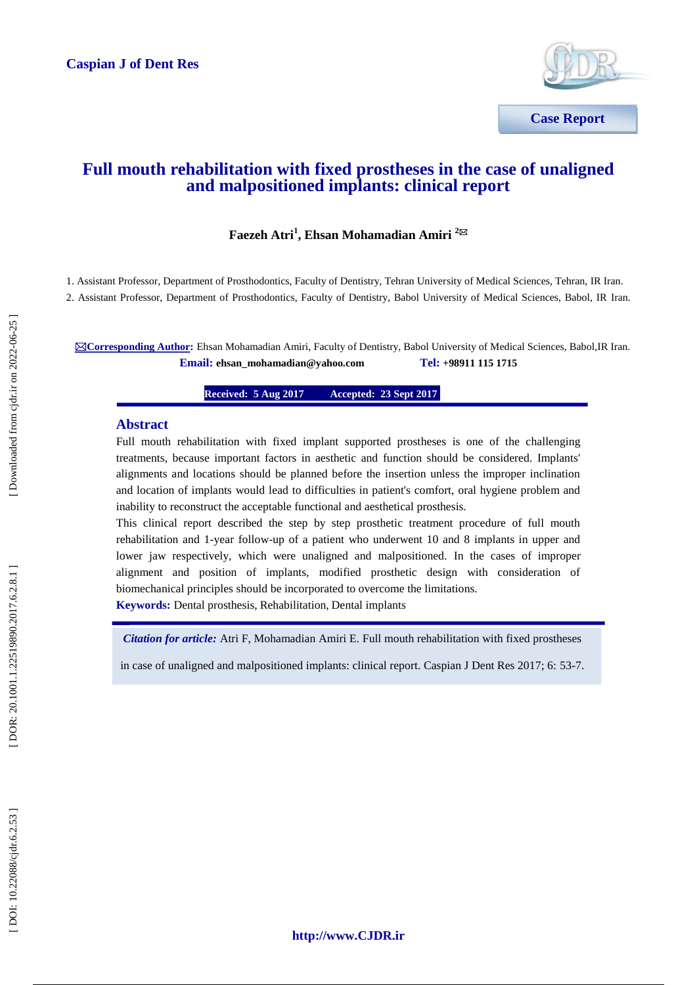

# **Full mouth rehabilitation with fixed prostheses in the case of unaligned and malpositioned implants: clinical report**

# **Faezeh Atri 1 , Ehsan Mohamadian Amiri 2**

1. Assistant Professor, Department of Prosthodontics, Faculty of Dentistry, Tehran University of Medical Sciences, Tehran, IR Iran. 2. Assistant Professor, Department of Prosthodontics, Faculty of Dentistry, Babol University of Medical Sciences, Babol, IR Iran.

**Corresponding Author:** Ehsan Mohamadian Amiri, Faculty of Dentistry, Babol University of Medical Sciences, Babol,IR Iran.  $\n **Email: ehsan_mohamadian@yahoo.com**\n$ **+98911 115 1715**

> **Received: 5 Aug 201 7 Accepted: 23 Sept 2017**

### **Abstract**

Full mouth rehabilitation with fixed implant supported prostheses is one of the challenging treatments, because important factors in aesthetic and function should be considered. Implants' alignments and locations should be planned before the insertion unless the improper inclination and location of implants would lead to difficulties in patient's comfort, oral hygiene problem and inability to reconstruct the acceptable functional and aesthetical prosthesis.

This clinical report described the step by step prosthetic treatment procedure of full mouth rehabilitation and 1 -year follow -up of a patient who underwent 10 and 8 implants in upper and lower jaw respectively, which were unaligned and malpositioned. In the cases of improper alignment and position of implants, modified prosthetic design with consideration of biomechanical principles should be incorporated to overcome the limitations. **Keywords:** Dental prosthesis, Rehabilitation, Dental implants

*Citation for article:* Atri F, Mohamadian Amiri E. Full mouth rehabilitation with fixed prostheses

in case of unaligned and malpositioned implants: clinical report. Caspian J Dent Res 2017; 6: 53 -7.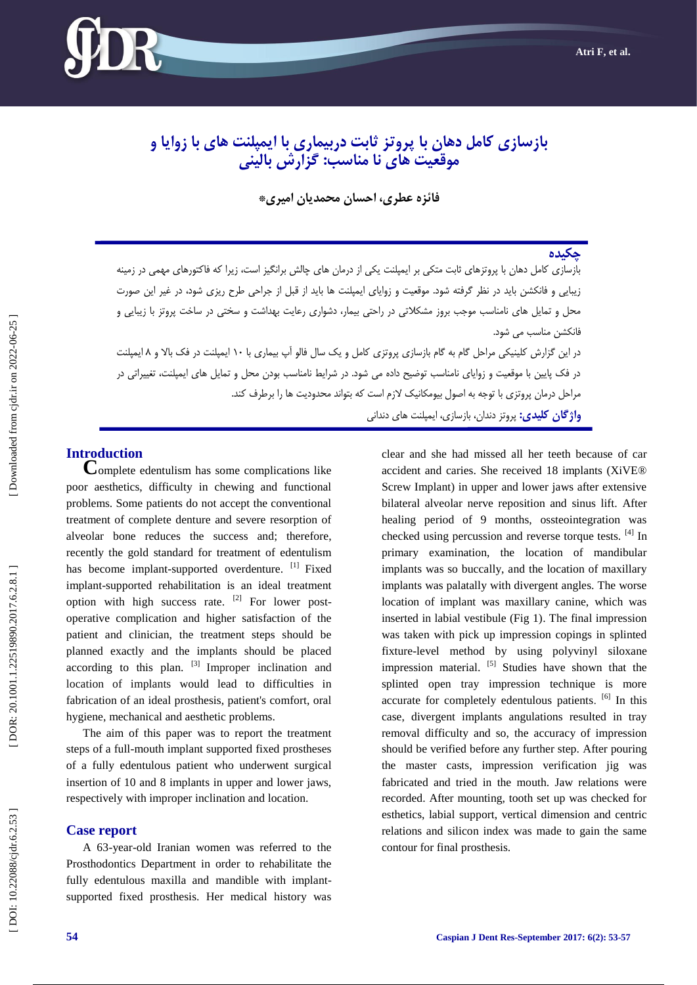

# **بازسازی کامل دهان با پروتس ثابت دربیماری با ایمپلنت های با زوایا و موقعیت های نا مناسب: گسارش بالینی**

**فائسه عطری، احسان محمدیان امیری\***

# **چکیده**

بازسازی کامل دهان با پروتزهای ثابت متکی بر ایمپلنت یکی از درمان های چالش برانگیز است، زیرا که فاکتورهای مهمی در زمینه زیبایی و فانکشن باید در نظر گرفته شود. موقعیت و زوایای ایمپلنت ها باید از قبل از جراحی طرح ریزی شود، در غیر این صورت محل و تمایل های نامناسب موجب بروز مشکلاتی در راحتی بیمار، دشواری رعایت بهداشت و سختی در ساخت پروتز با زیبایی و فانکشن مناسب می شود.

در این گزارش کلینیکی مراحل گام به گام بازسازی پروتزی کامل و یک سال فالو اپ بیماری با ۱۰ ایمپلنت در فک بالا و ۸ ایمپلنت در فک پایین با موقعیت و زوایای نامناسب توضیح داده می شود. در شرایط نامناسب بودن محل و تمایل های ایمپلنت، تغییراتی در مراحل درمان پروتزی با توجه به اصول بیومکانیک لازم است که بتواند محدودیت ها را برطرف کند. <mark>واژ *گ*ان کلیدی:</mark> پروتز دندان، بازسازی، ایمپلنت های دندانی

**Introduction**<br> **C**omplete edentulism has some complications like poor aesthetics, difficulty in chewing and functional problems. Some patients do not accept the conventional treatment of complete denture and severe resorption of alveolar bone reduces the success and; therefore, recently the gold standard for treatment of edentulism has become implant-supported overdenture. [1] Fixed implant -supported rehabilitation is an ideal treatment option with high success rate.  $[2]$  For lower postoperative complication and higher satisfaction of the patient and clinician, the treatment steps should be planned exactly and the implants should be placed according to this plan.  $[3]$  Improper inclination and location of implants would lead to difficulties in fabrication of an ideal prosthesis, patient's comfort, oral hygiene, mechanical and aesthetic problems.

The aim of this paper was to report the treatment steps of a full -mouth implant supported fixed prostheses of a fully edentulous patient who underwent surgical insertion of 10 and 8 implants in upper and lower jaws, respectively with improper inclination and location.

### **Case report**

A 63 -year -old Iranian women was referred to the Prosthodontics Department in order to rehabilitate the fully edentulous maxilla and mandible with implantsupported fixed prosthesis. Her medical history was

clear and she had missed all her teeth because of car accident and caries. She received 18 implants (XiVE® Screw Implant) in upper and lower jaws after extensive bilateral alveolar nerve reposition and sinus lift. After healing period of 9 months, ossteointegration was checked using percussion and reverse torque tests. [4] In primary examination, the location of mandibular implants was so buccally, and the location of maxillary implants was palatally with divergent angles. The worse location of implant was maxillary canine, which was inserted in labial vestibule (Fig 1) . The final impression was taken with pick up impression copings in splinted fixture -level method by using polyvinyl siloxane impression material.  $[5]$  Studies have shown that the splinted open tray impression technique is more accurate for completely edentulous patients. [6] In this case, divergent implants angulations resulted in tray removal difficulty and so, the accuracy of impression should be verified before any further step. After pouring the master casts, impression verification jig was fabricated and tried in the mouth. Jaw relations were recorded. After mounting, tooth set up was checked for esthetics, labial support, vertical dimension and centric relations and silicon index was made to gain the same contour for final prosthesis.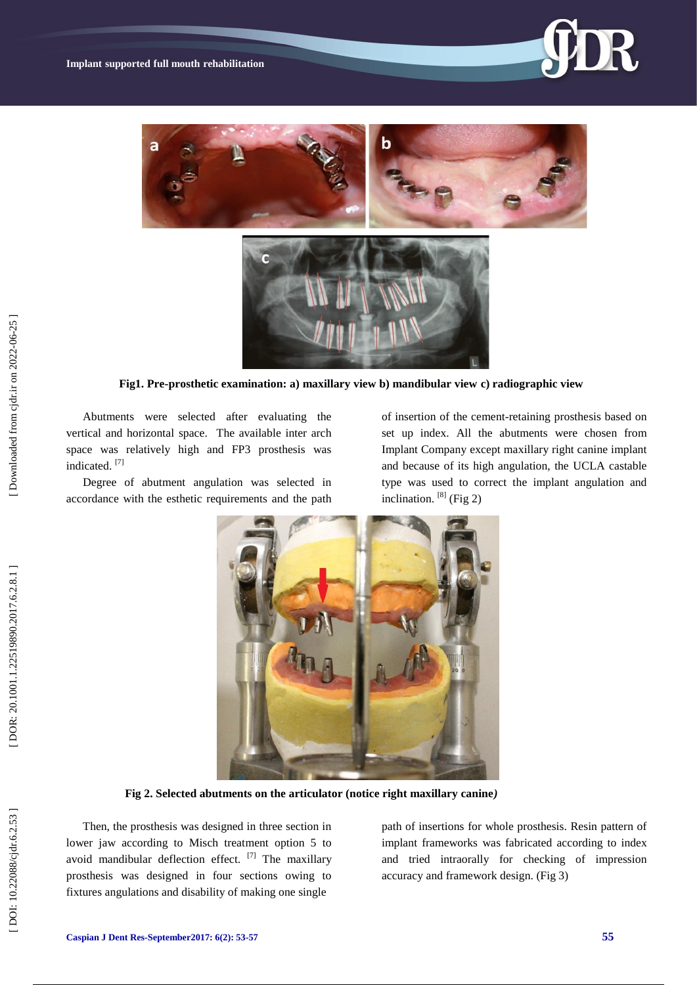



 **Fig1. Pre -prosthetic examination: a) maxillary view b) mandibular view c) radiographic view** 

Abutments were selected after evaluating the vertical and horizontal space. The available inter arch space was relatively high and FP3 prosthesis was indicated. [7]

Degree of abutment angulation was selected in accordance with the esthetic requirements and the path

of insertion of the cement -retaining prosthesis based on set up index. All the abutments were chosen from Implant Company except maxillary right canine implant and because of its high angulation, the UCLA castable type was used to correct the implant angulation and inclination.  $[8]$  (Fig 2)



 **Fig 2. Selected abutments on the articulator (notice right maxillary canine** *)*

Then, the prosthesis was designed in three section in lower jaw according to Misch treatment option 5 to avoid mandibular deflection effect.  $[7]$  The maxillary prosthesis was designed in four sections owing to fixtures angulations and disability of making one single

path of insertions for whole prosthesis. Resin pattern of implant frameworks was fabricated according to index and tried intraorally for checking of impression accuracy and framework design. (Fig 3)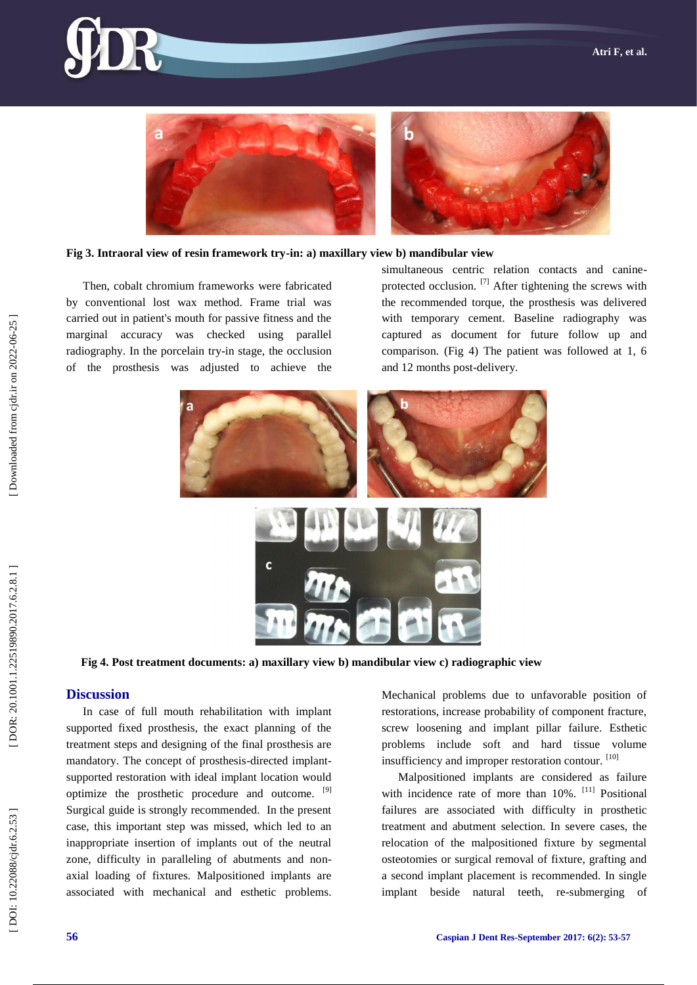



#### **Fig 3. Intraoral view of resin framework try -in: a) maxillary view b) mandibular view**

Then, cobalt chromium frameworks were fabricated by conventional lost wax method. Frame trial was carried out in patient's mouth for passive fitness and the marginal accuracy was checked using parallel radiography. In the porcelain try -in stage, the occlusion of the prosthesis was adjusted to achieve the

simultaneous centric relation contacts and canineprotected occlusion.  $^{[7]}$  After tightening the screws with the recommended torque, the prosthesis was delivered with temporary cement. Baseline radiography was captured as document for future follow up and comparison. (Fig 4) The patient was followed at 1, 6 and 12 months post -delivery.



 **Fig 4. Post treatment documents: a) maxillary view b) mandibular view c) radiographic view** 

# **Discussion**

In case of full mouth rehabilitation with implant supported fixed prosthesis, the exact planning of the treatment steps and designing of the final prosthesis are mandatory. The concept of prosthesis -directed implant supported restoration with ideal implant location would optimize the prosthetic procedure and outcome. <sup>[9]</sup> Surgical guide is strongly recommended. In the present case, this important step was missed, which led to an inappropriate insertion of implants out of the neutral zone, difficulty in paralleling of abutments and nonaxial loading of fixtures. Malpositioned implants are associated with mechanical and esthetic problems.

Mechanical problems due to unfavorable position of restorations, increase probability of component fracture, screw loosening and implant pillar failure. Esthetic problems include soft and hard tissue volume insufficiency and improper restoration contour. [10]

Malpositioned implants are considered as failure with incidence rate of more than 10%. <sup>[11]</sup> Positional failures are associated with difficulty in prosthetic treatment and abutment selection. In severe cases, the relocation of the malpositioned fixture by segmental osteotomies or surgical removal of fixture, grafting and a second implant placement is recommended. In single implant beside natural teeth, re -submerging of